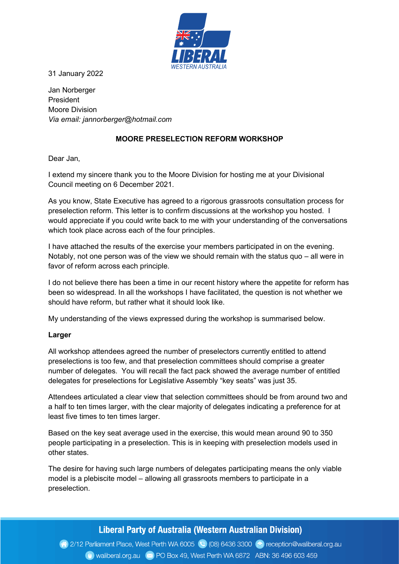

31 January 2022

Jan Norberger President Moore Division Via email: jannorberger@hotmail.com

## MOORE PRESELECTION REFORM WORKSHOP

Dear Jan,

I extend my sincere thank you to the Moore Division for hosting me at your Divisional Council meeting on 6 December 2021.

As you know, State Executive has agreed to a rigorous grassroots consultation process for preselection reform. This letter is to confirm discussions at the workshop you hosted. I would appreciate if you could write back to me with your understanding of the conversations which took place across each of the four principles.

I have attached the results of the exercise your members participated in on the evening. Notably, not one person was of the view we should remain with the status quo – all were in favor of reform across each principle.

I do not believe there has been a time in our recent history where the appetite for reform has been so widespread. In all the workshops I have facilitated, the question is not whether we should have reform, but rather what it should look like.

My understanding of the views expressed during the workshop is summarised below.

### Larger

All workshop attendees agreed the number of preselectors currently entitled to attend preselections is too few, and that preselection committees should comprise a greater number of delegates. You will recall the fact pack showed the average number of entitled delegates for preselections for Legislative Assembly "key seats" was just 35.

Attendees articulated a clear view that selection committees should be from around two and a half to ten times larger, with the clear majority of delegates indicating a preference for at least five times to ten times larger.

Based on the key seat average used in the exercise, this would mean around 90 to 350 people participating in a preselection. This is in keeping with preselection models used in other states.

The desire for having such large numbers of delegates participating means the only viable model is a plebiscite model – allowing all grassroots members to participate in a preselection.

# Liberal Party of Australia (Western Australian Division)

2/12 Parliament Place, West Perth WA 6005 (2) (08) 6436 3300 (2) reception@waliberal.org.au Waliberal.org.au (xx) PO Box 49, West Perth WA 6872 ABN: 36 496 603 459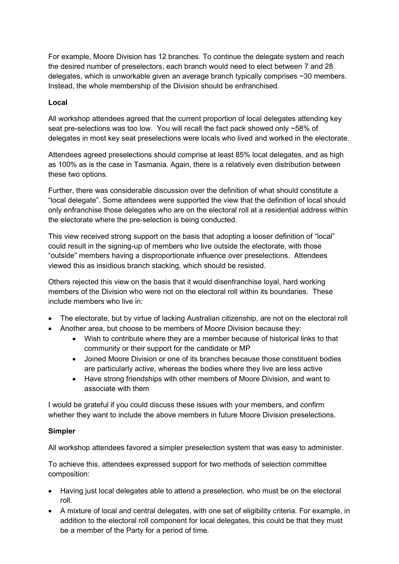For example, Moore Division has 12 branches. To continue the delegate system and reach the desired number of preselectors, each branch would need to elect between 7 and 28 delegates, which is unworkable given an average branch typically comprises ~30 members. Instead, the whole membership of the Division should be enfranchised.

## Local

All workshop attendees agreed that the current proportion of local delegates attending key seat pre-selections was too low. You will recall the fact pack showed only ~58% of delegates in most key seat preselections were locals who lived and worked in the electorate.

Attendees agreed preselections should comprise at least 85% local delegates, and as high as 100% as is the case in Tasmania. Again, there is a relatively even distribution between these two options.

Further, there was considerable discussion over the definition of what should constitute a "local delegate". Some attendees were supported the view that the definition of local should only enfranchise those delegates who are on the electoral roll at a residential address within the electorate where the pre-selection is being conducted.

This view received strong support on the basis that adopting a looser definition of "local" could result in the signing-up of members who live outside the electorate, with those "outside" members having a disproportionate influence over preselections. Attendees viewed this as insidious branch stacking, which should be resisted.

Others rejected this view on the basis that it would disenfranchise loyal, hard working members of the Division who were not on the electoral roll within its boundaries. These include members who live in:

- The electorate, but by virtue of lacking Australian citizenship, are not on the electoral roll
- Another area, but choose to be members of Moore Division because they:
	- Wish to contribute where they are a member because of historical links to that community or their support for the candidate or MP
	- Joined Moore Division or one of its branches because those constituent bodies are particularly active, whereas the bodies where they live are less active
	- Have strong friendships with other members of Moore Division, and want to associate with them

I would be grateful if you could discuss these issues with your members, and confirm whether they want to include the above members in future Moore Division preselections.

## Simpler

All workshop attendees favored a simpler preselection system that was easy to administer.

To achieve this, attendees expressed support for two methods of selection committee composition:

- Having just local delegates able to attend a preselection, who must be on the electoral roll.
- A mixture of local and central delegates, with one set of eligibility criteria. For example, in addition to the electoral roll component for local delegates, this could be that they must be a member of the Party for a period of time.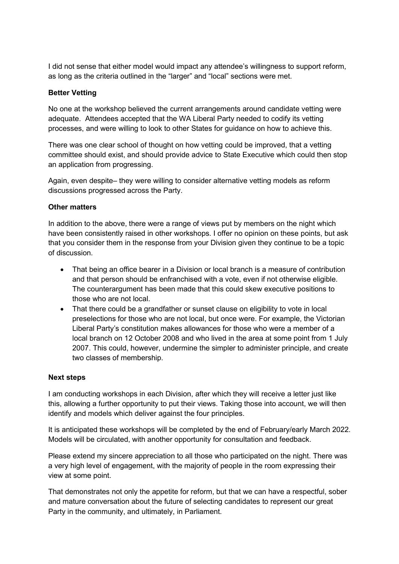I did not sense that either model would impact any attendee's willingness to support reform, as long as the criteria outlined in the "larger" and "local" sections were met.

## Better Vetting

No one at the workshop believed the current arrangements around candidate vetting were adequate. Attendees accepted that the WA Liberal Party needed to codify its vetting processes, and were willing to look to other States for guidance on how to achieve this.

There was one clear school of thought on how vetting could be improved, that a vetting committee should exist, and should provide advice to State Executive which could then stop an application from progressing.

Again, even despite– they were willing to consider alternative vetting models as reform discussions progressed across the Party.

### Other matters

In addition to the above, there were a range of views put by members on the night which have been consistently raised in other workshops. I offer no opinion on these points, but ask that you consider them in the response from your Division given they continue to be a topic of discussion.

- That being an office bearer in a Division or local branch is a measure of contribution and that person should be enfranchised with a vote, even if not otherwise eligible. The counterargument has been made that this could skew executive positions to those who are not local.
- That there could be a grandfather or sunset clause on eligibility to vote in local preselections for those who are not local, but once were. For example, the Victorian Liberal Party's constitution makes allowances for those who were a member of a local branch on 12 October 2008 and who lived in the area at some point from 1 July 2007. This could, however, undermine the simpler to administer principle, and create two classes of membership.

### Next steps

I am conducting workshops in each Division, after which they will receive a letter just like this, allowing a further opportunity to put their views. Taking those into account, we will then identify and models which deliver against the four principles.

It is anticipated these workshops will be completed by the end of February/early March 2022. Models will be circulated, with another opportunity for consultation and feedback.

Please extend my sincere appreciation to all those who participated on the night. There was a very high level of engagement, with the majority of people in the room expressing their view at some point.

That demonstrates not only the appetite for reform, but that we can have a respectful, sober and mature conversation about the future of selecting candidates to represent our great Party in the community, and ultimately, in Parliament.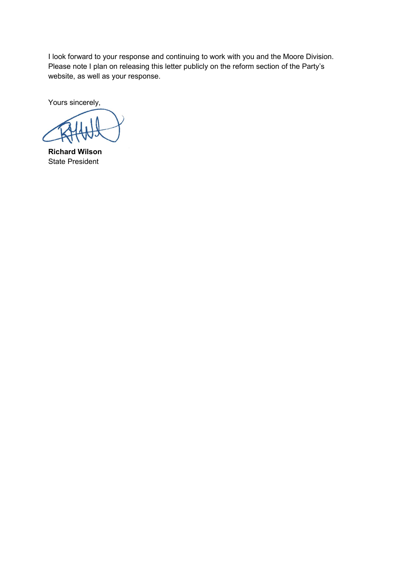I look forward to your response and continuing to work with you and the Moore Division. Please note I plan on releasing this letter publicly on the reform section of the Party's website, as well as your response.

Yours sincerely,

Richard Wilson State President